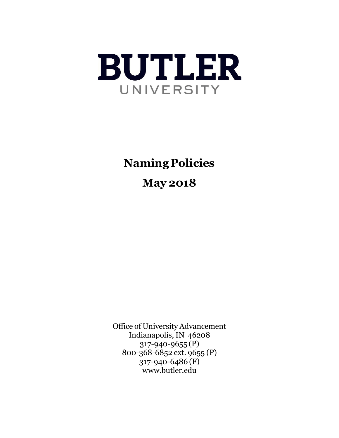

**Naming Policies**

**May 2018**

Office of University Advancement Indianapolis, IN 46208 317-940-9655 (P) 800-368-6852 ext. 9655 (P) 317-940-6486 (F) [www.butler.edu](http://www.butler.edu/)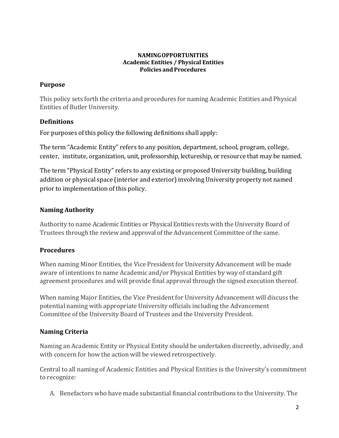#### **NAMINGOPPORTUNITIES Academic Entities / Physical Entities Policies and Procedures**

## **Purpose**

This policy sets forth the criteria and procedures for naming Academic Entities and Physical Entities of Butler University.

## **Definitions**

For purposes of this policy the following definitions shall apply:

The term "Academic Entity" refers to any position, department, school, program, college, center, institute, organization, unit, professorship, lectureship, or resource that may be named.

The term "Physical Entity" refers to any existing or proposed University building, building addition or physical space (interior and exterior) involving University property not named prior to implementation of this policy.

# **Naming Authority**

Authority to name Academic Entities or Physical Entities rests with the University Board of Trustees through the review and approval of the Advancement Committee of the same.

# **Procedures**

When naming Minor Entities, the Vice President for University Advancement will be made aware of intentions to name Academic and/or Physical Entities by way of standard gift agreement procedures and will provide final approval through the signed execution thereof.

When naming Major Entities, the Vice President for University Advancement will discuss the potential naming with appropriate University officials including the Advancement Committee of the University Board of Trustees and the University President.

# **Naming Criteria**

Naming an Academic Entity or Physical Entity should be undertaken discreetly, advisedly, and with concern for how the action will be viewed retrospectively.

Central to all naming of Academic Entities and Physical Entities is the University's commitment to recognize:

A. Benefactors who have made substantial financial contributions to the University. The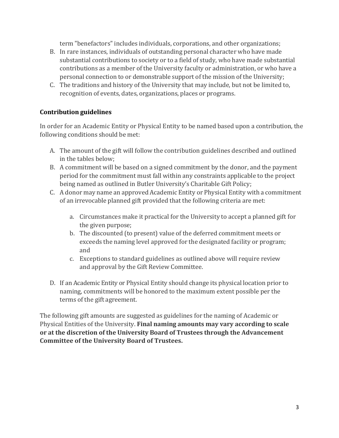term "benefactors"includes individuals, corporations, and other organizations;

- B. In rare instances, individuals of outstanding personal character who have made substantial contributions to society or to a field of study, who have made substantial contributions as a member of the University faculty or administration, or who have a personal connection to or demonstrable support of the mission of the University;
- C. The traditions and history of the University that may include, but not be limited to, recognition of events, dates, organizations, places or programs.

## **Contribution guidelines**

In order for an Academic Entity or Physical Entity to be named based upon a contribution, the following conditions should be met:

- A. The amount of the gift will follow the contribution guidelines described and outlined in the tables below;
- B. A commitment will be based on a signed commitment by the donor, and the payment period for the commitment must fall within any constraints applicable to the project being named as outlined in Butler University's Charitable Gift Policy;
- C. A donor may name an approved Academic Entity or Physical Entity with a commitment of an irrevocable planned gift provided that the following criteria are met:
	- a. Circumstances make it practical for the University to accept a planned gift for the given purpose;
	- b. The discounted (to present) value of the deferred commitment meets or exceeds the naming level approved for the designated facility or program; and
	- c. Exceptions to standard guidelines as outlined above will require review and approval by the Gift Review Committee.
- D. If an Academic Entity or Physical Entity should change its physical location prior to naming, commitments will be honored to the maximum extent possible per the terms of the gift agreement.

The following gift amounts are suggested as guidelines for the naming of Academic or Physical Entities of the University. **Final naming amounts may vary according to scale or at the discretion of the University Board of Trustees through the Advancement Committee of the University Board of Trustees.**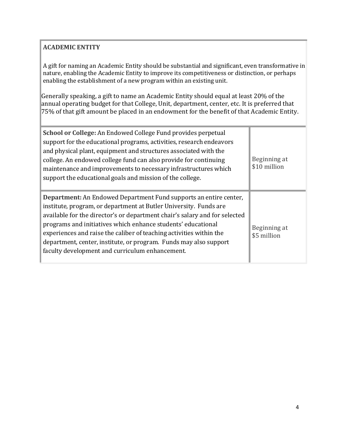# **ACADEMIC ENTITY**

A gift for naming an Academic Entity should be substantial and significant, even transformative in nature, enabling the Academic Entity to improve its competitiveness or distinction, or perhaps enabling the establishment of a new program within an existing unit.

Generally speaking, a gift to name an Academic Entity should equal at least 20% of the annual operating budget for that College, Unit, department, center, etc. It is preferred that 75% of that gift amount be placed in an endowment for the benefit of that Academic Entity.

| School or College: An Endowed College Fund provides perpetual<br>support for the educational programs, activities, research endeavors<br>and physical plant, equipment and structures associated with the<br>college. An endowed college fund can also provide for continuing<br>maintenance and improvements to necessary infrastructures which<br>support the educational goals and mission of the college.                                                                              | Beginning at<br>\$10 million |
|--------------------------------------------------------------------------------------------------------------------------------------------------------------------------------------------------------------------------------------------------------------------------------------------------------------------------------------------------------------------------------------------------------------------------------------------------------------------------------------------|------------------------------|
| <b>Department:</b> An Endowed Department Fund supports an entire center,<br>institute, program, or department at Butler University. Funds are<br>available for the director's or department chair's salary and for selected<br>programs and initiatives which enhance students' educational<br>experiences and raise the caliber of teaching activities within the<br>department, center, institute, or program. Funds may also support<br>faculty development and curriculum enhancement. | Beginning at<br>\$5 million  |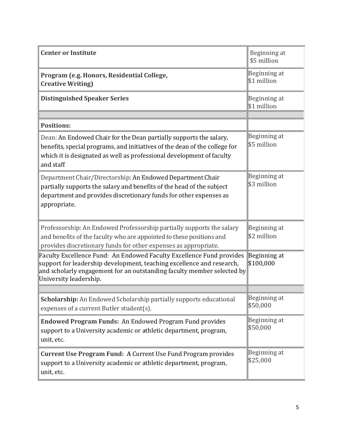| <b>Center or Institute</b>                                                                                                                                                                                                                        | Beginning at<br>\$5 million |
|---------------------------------------------------------------------------------------------------------------------------------------------------------------------------------------------------------------------------------------------------|-----------------------------|
| Program (e.g. Honors, Residential College,<br><b>Creative Writing)</b>                                                                                                                                                                            | Beginning at<br>\$1 million |
| <b>Distinguished Speaker Series</b>                                                                                                                                                                                                               | Beginning at<br>\$1 million |
| <b>Positions:</b>                                                                                                                                                                                                                                 |                             |
| Dean: An Endowed Chair for the Dean partially supports the salary,<br>benefits, special programs, and initiatives of the dean of the college for<br>which it is designated as well as professional development of faculty<br>and staff            | Beginning at<br>\$5 million |
| Department Chair/Directorship: An Endowed Department Chair<br>partially supports the salary and benefits of the head of the subject<br>department and provides discretionary funds for other expenses as<br>appropriate.                          | Beginning at<br>\$3 million |
| Professorship: An Endowed Professorship partially supports the salary<br>and benefits of the faculty who are appointed to these positions and<br>provides discretionary funds for other expenses as appropriate.                                  | Beginning at<br>\$2 million |
| Faculty Excellence Fund: An Endowed Faculty Excellence Fund provides<br>support for leadership development, teaching excellence and research,<br>and scholarly engagement for an outstanding faculty member selected by<br>University leadership. | Beginning at<br>\$100,000   |
|                                                                                                                                                                                                                                                   |                             |
| Scholarship: An Endowed Scholarship partially supports educational<br>expenses of a current Butler student(s).                                                                                                                                    | Beginning at<br>\$50,000    |
| <b>Endowed Program Funds: An Endowed Program Fund provides</b><br>support to a University academic or athletic department, program,<br>unit, etc.                                                                                                 | Beginning at<br>\$50,000    |
| Current Use Program Fund: A Current Use Fund Program provides<br>support to a University academic or athletic department, program,<br>unit, etc.                                                                                                  | Beginning at<br>\$25,000    |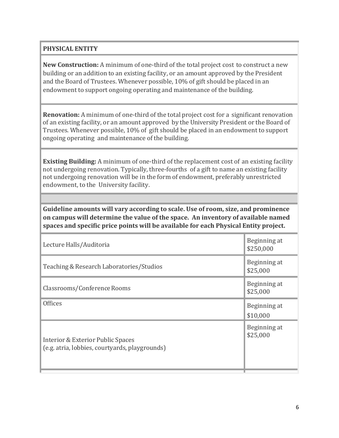## **PHYSICAL ENTITY**

**New Construction:** A minimum of one-third of the total project cost to construct a new building or an addition to an existing facility, or an amount approved by the President and the Board of Trustees. Whenever possible, 10% of gift should be placed in an endowment to support ongoing operating and maintenance of the building.

**Renovation:** A minimum of one-third of the total project cost for a significant renovation of an existing facility, or an amount approved by the University President or the Board of Trustees. Whenever possible, 10% of gift should be placed in an endowment to support ongoing operating and maintenance of the building.

**Existing Building:** A minimum of one-third of the replacement cost of an existing facility not undergoing renovation. Typically, three-fourths of a gift to name an existing facility not undergoing renovation will be in the form of endowment, preferably unrestricted endowment, to the University facility.

**Guideline amounts will vary according to scale. Use of room, size, and prominence on campus will determine the value of the space. An inventory of available named spaces and specific price points will be available for each Physical Entity project.**

| Lecture Halls/Auditoria                                                             | Beginning at<br>\$250,000 |
|-------------------------------------------------------------------------------------|---------------------------|
| Teaching & Research Laboratories/Studios                                            | Beginning at<br>\$25,000  |
| Classrooms/Conference Rooms                                                         | Beginning at<br>\$25,000  |
| <b>Offices</b>                                                                      | Beginning at<br>\$10,000  |
| Interior & Exterior Public Spaces<br>(e.g. atria, lobbies, courtyards, playgrounds) | Beginning at<br>\$25,000  |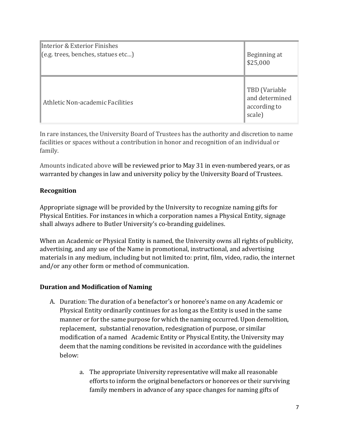| Interior & Exterior Finishes       | Beginning at                                              |
|------------------------------------|-----------------------------------------------------------|
| (e.g. trees, benefits, status set) | \$25,000                                                  |
| Athletic Non-academic Facilities   | TBD (Variable<br>and determined<br>according to<br>scale) |

In rare instances, the University Board of Trustees has the authority and discretion to name facilities or spaces without a contribution in honor and recognition of an individual or family.

Amounts indicated above will be reviewed prior to May 31 in even-numbered years, or as warranted by changes in law and university policy by the University Board of Trustees.

## **Recognition**

Appropriate signage will be provided by the University to recognize naming gifts for Physical Entities. For instances in which a corporation names a Physical Entity, signage shall always adhere to Butler University's co-branding guidelines.

When an Academic or Physical Entity is named, the University owns all rights of publicity, advertising, and any use of the Name in promotional, instructional, and advertising materials in any medium, including but not limited to: print, film, video, radio, the internet and/or any other form or method of communication.

## **Duration and Modification of Naming**

- A. Duration: The duration of a benefactor's or honoree's name on any Academic or Physical Entity ordinarily continues for as long as the Entity is used in the same manner or for the same purpose for which the naming occurred. Upon demolition, replacement, substantial renovation, redesignation of purpose, or similar modification of a named Academic Entity or Physical Entity, the University may deem that the naming conditions be revisited in accordance with the guidelines below:
	- a. The appropriate University representative will make all reasonable efforts to inform the original benefactors or honorees or their surviving family members in advance of any space changes for naming gifts of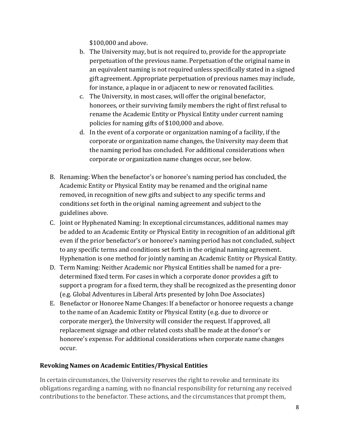\$100,000 and above.

- b. The University may, but is not required to, provide for the appropriate perpetuation of the previous name. Perpetuation of the original name in an equivalent naming is not required unless specifically stated in a signed gift agreement. Appropriate perpetuation of previous names may include, for instance, a plaque in or adjacent to new or renovated facilities.
- c. The University, in most cases, will offer the original benefactor, honorees, or their surviving family members the right of first refusal to rename the Academic Entity or Physical Entity under current naming policies for naming gifts of \$100,000 and above.
- d. In the event of a corporate or organization naming of a facility, if the corporate or organization name changes, the University may deem that the naming period has concluded. For additional considerations when corporate or organization name changes occur, see below.
- B. Renaming: When the benefactor's or honoree's naming period has concluded, the Academic Entity or Physical Entity may be renamed and the original name removed, in recognition of new gifts and subject to any specific terms and conditions set forth in the original naming agreement and subject to the guidelines above.
- C. Joint or Hyphenated Naming: In exceptional circumstances, additional names may be added to an Academic Entity or Physical Entity in recognition of an additional gift even if the prior benefactor's or honoree's naming period has not concluded, subject to any specific terms and conditions set forth in the original naming agreement. Hyphenation is one method for jointly naming an Academic Entity or Physical Entity.
- D. Term Naming: Neither Academic nor Physical Entities shall be named for a predetermined fixed term. For cases in which a corporate donor provides a gift to support a program for a fixed term, they shall be recognized as the presenting donor (e.g. Global Adventures in Liberal Arts presented by John Doe Associates)
- E. Benefactor or Honoree Name Changes: If a benefactor or honoree requests a change to the name of an Academic Entity or Physical Entity (e.g. due to divorce or corporate merger), the University will consider the request. If approved, all replacement signage and other related costs shall be made at the donor's or honoree's expense. For additional considerations when corporate name changes occur.

## **Revoking Names on Academic Entities/Physical Entities**

In certain circumstances, the University reserves the right to revoke and terminate its obligations regarding a naming, with no financial responsibility for returning any received contributions to the benefactor. These actions, and the circumstances that prompt them,